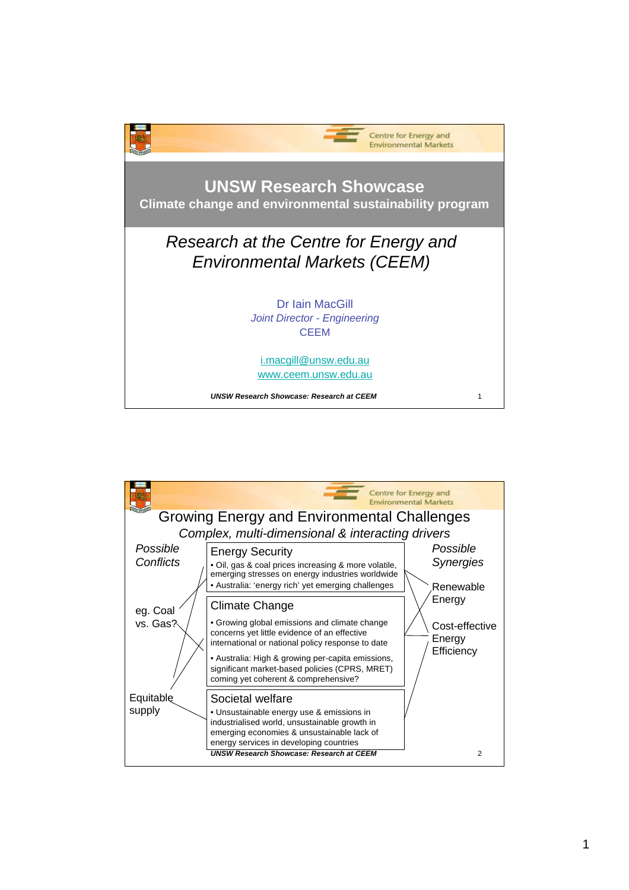

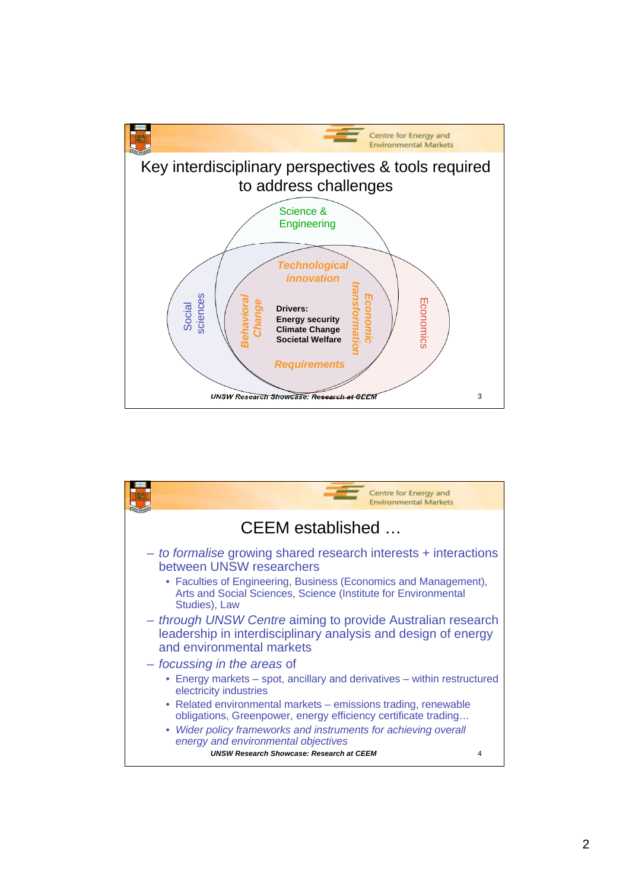